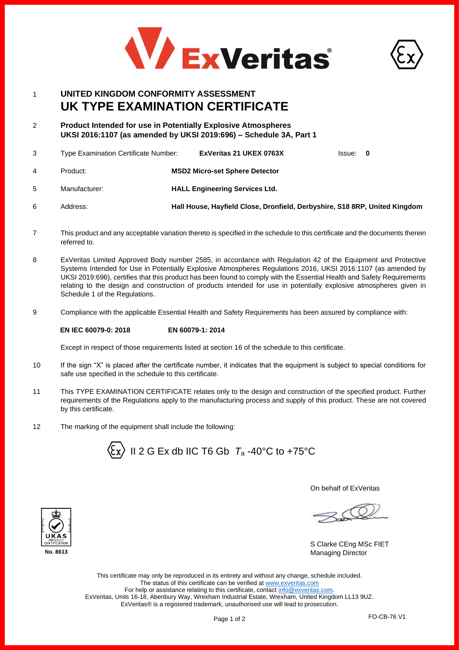



# 1 **UNITED KINGDOM CONFORMITY ASSESSMENT UK TYPE EXAMINATION CERTIFICATE**

2 **Product Intended for use in Potentially Explosive Atmospheres UKSI 2016:1107 (as amended by UKSI 2019:696) – Schedule 3A, Part 1**

| 3              | <b>Type Examination Certificate Number:</b> |  | ExVeritas 21 UKEX 0763X                                                    | lssue: 0 |  |
|----------------|---------------------------------------------|--|----------------------------------------------------------------------------|----------|--|
| $\overline{4}$ | Product:                                    |  | <b>MSD2 Micro-set Sphere Detector</b>                                      |          |  |
| -5             | Manufacturer:                               |  | <b>HALL Engineering Services Ltd.</b>                                      |          |  |
| 6              | Address:                                    |  | Hall House, Hayfield Close, Dronfield, Derbyshire, S18 8RP, United Kingdom |          |  |

- 7 This product and any acceptable variation thereto is specified in the schedule to this certificate and the documents therein referred to.
- 8 ExVeritas Limited Approved Body number 2585, in accordance with Regulation 42 of the Equipment and Protective Systems Intended for Use in Potentially Explosive Atmospheres Regulations 2016, UKSI 2016:1107 (as amended by UKSI 2019:696), certifies that this product has been found to comply with the Essential Health and Safety Requirements relating to the design and construction of products intended for use in potentially explosive atmospheres given in Schedule 1 of the Regulations.
- 9 Compliance with the applicable Essential Health and Safety Requirements has been assured by compliance with:

## **EN IEC 60079-0: 2018 EN 60079-1: 2014**

Except in respect of those requirements listed at section 16 of the schedule to this certificate.

- 10 If the sign "X" is placed after the certificate number, it indicates that the equipment is subject to special conditions for safe use specified in the schedule to this certificate.
- 11 This TYPE EXAMINATION CERTIFICATE relates only to the design and construction of the specified product. Further requirements of the Regulations apply to the manufacturing process and supply of this product. These are not covered by this certificate.
- 12 The marking of the equipment shall include the following:



On behalf of ExVeritas

S Clarke CEng MSc FIET Managing Director

This certificate may only be reproduced in its entirety and without any change, schedule included. The status of this certificate can be verified a[t www.exveritas.com](http://www.exveritas.com/) For help or assistance relating to this certificate, contact [info@exveritas.com.](mailto:info@exveritas.com) ExVeritas, Units 16-18, Abenbury Way, Wrexham Industrial Estate, Wrexham, United Kingdom LL13 9UZ. ExVeritas® is a registered trademark, unauthorised use will lead to prosecution.